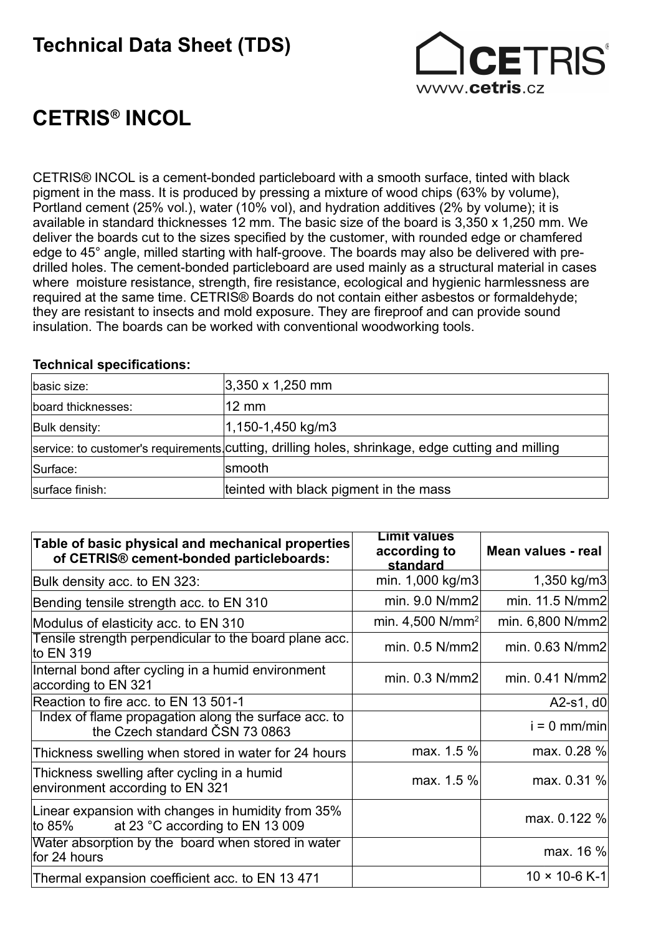## Technical Data Sheet (TDS)



# CETRIS® INCOL

CETRIS® INCOL is a cement-bonded particleboard with a smooth surface, tinted with black pigment in the mass. It is produced by pressing a mixture of wood chips (63% by volume), Portland cement (25% vol.), water (10% vol), and hydration additives (2% by volume); it is available in standard thicknesses 12 mm. The basic size of the board is 3,350 x 1,250 mm. We deliver the boards cut to the sizes specified by the customer, with rounded edge or chamfered edge to 45° angle, milled starting with half-groove. The boards may also be delivered with predrilled holes. The cement-bonded particleboard are used mainly as a structural material in cases where moisture resistance, strength, fire resistance, ecological and hygienic harmlessness are required at the same time. CETRIS® Boards do not contain either asbestos or formaldehyde; they are resistant to insects and mold exposure. They are fireproof and can provide sound insulation. The boards can be worked with conventional woodworking tools.

#### Technical specifications:

| basic size:        | $ 3,350 \times 1,250 \text{ mm} $                                                                |
|--------------------|--------------------------------------------------------------------------------------------------|
| board thicknesses: | $12 \text{ mm}$                                                                                  |
| Bulk density:      | 1,150-1,450 kg/m3                                                                                |
|                    | service: to customer's requirements cutting, drilling holes, shrinkage, edge cutting and milling |
| Surface:           | smooth                                                                                           |
| surface finish:    | teinted with black pigment in the mass                                                           |

| Table of basic physical and mechanical properties<br>of CETRIS® cement-bonded particleboards:   | <b>Limit values</b><br>according to<br>standard | Mean values - real     |
|-------------------------------------------------------------------------------------------------|-------------------------------------------------|------------------------|
| Bulk density acc. to EN 323:                                                                    | min. 1,000 kg/m3                                | 1,350 kg/m3            |
| Bending tensile strength acc. to EN 310                                                         | min. 9.0 N/mm2                                  | min. 11.5 N/mm2        |
| Modulus of elasticity acc. to EN 310                                                            | min. 4,500 $N/mm^2$                             | min. 6,800 N/mm2       |
| Tensile strength perpendicular to the board plane acc.<br>to EN 319                             | min. $0.5$ N/mm2                                | min. 0.63 N/mm2        |
| Internal bond after cycling in a humid environment<br>according to EN 321                       | min. $0.3$ N/mm2                                | min. 0.41 N/mm2        |
| Reaction to fire acc. to EN 13 501-1                                                            |                                                 | A2-s1, $d0$            |
| Index of flame propagation along the surface acc. to<br>the Czech standard ČSN 73 0863          |                                                 | $i = 0$ mm/min         |
| Thickness swelling when stored in water for 24 hours                                            | max. 1.5 %                                      | max. 0.28 %            |
| Thickness swelling after cycling in a humid<br>environment according to EN 321                  | max. 1.5 %                                      | max. 0.31 %            |
| Linear expansion with changes in humidity from 35%<br>at 23 °C according to EN 13 009<br>to 85% |                                                 | max. 0.122 %           |
| Water absorption by the board when stored in water<br>for 24 hours                              |                                                 | max. 16 %              |
| Thermal expansion coefficient acc. to EN 13 471                                                 |                                                 | $10 \times 10 - 6$ K-1 |